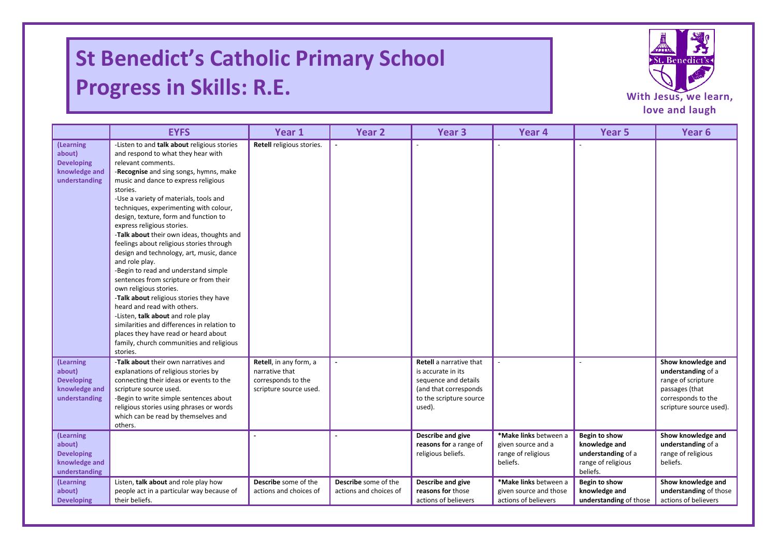## **St Benedict's Catholic Primary School Progress in Skills: R.E.**

I

I



|                                                                            | <b>EYFS</b>                                                                                                                                                                                                                                                                                                                                                                                                                                                                                                                                                                                                                                                                                                                                                                                                                                                                                       | Year 1                                                                                   | Year <sub>2</sub>                              | Year <sub>3</sub>                                                                                                                          | Year 4                                                                        | Year <sub>5</sub>                                                                      | Year <sub>6</sub>                                                                                                                 |
|----------------------------------------------------------------------------|---------------------------------------------------------------------------------------------------------------------------------------------------------------------------------------------------------------------------------------------------------------------------------------------------------------------------------------------------------------------------------------------------------------------------------------------------------------------------------------------------------------------------------------------------------------------------------------------------------------------------------------------------------------------------------------------------------------------------------------------------------------------------------------------------------------------------------------------------------------------------------------------------|------------------------------------------------------------------------------------------|------------------------------------------------|--------------------------------------------------------------------------------------------------------------------------------------------|-------------------------------------------------------------------------------|----------------------------------------------------------------------------------------|-----------------------------------------------------------------------------------------------------------------------------------|
| (Learning<br>about)<br><b>Developing</b><br>knowledge and<br>understanding | -Listen to and talk about religious stories<br>and respond to what they hear with<br>relevant comments.<br>-Recognise and sing songs, hymns, make<br>music and dance to express religious<br>stories.<br>-Use a variety of materials, tools and<br>techniques, experimenting with colour,<br>design, texture, form and function to<br>express religious stories.<br>-Talk about their own ideas, thoughts and<br>feelings about religious stories through<br>design and technology, art, music, dance<br>and role play.<br>-Begin to read and understand simple<br>sentences from scripture or from their<br>own religious stories.<br>-Talk about religious stories they have<br>heard and read with others.<br>-Listen, talk about and role play<br>similarities and differences in relation to<br>places they have read or heard about<br>family, church communities and religious<br>stories. | Retell religious stories.                                                                | $\mathbf{r}$                                   |                                                                                                                                            |                                                                               |                                                                                        |                                                                                                                                   |
| (Learning<br>about)<br><b>Developing</b><br>knowledge and<br>understanding | -Talk about their own narratives and<br>explanations of religious stories by<br>connecting their ideas or events to the<br>scripture source used.<br>-Begin to write simple sentences about<br>religious stories using phrases or words<br>which can be read by themselves and<br>others.                                                                                                                                                                                                                                                                                                                                                                                                                                                                                                                                                                                                         | Retell, in any form, a<br>narrative that<br>corresponds to the<br>scripture source used. |                                                | <b>Retell</b> a narrative that<br>is accurate in its<br>sequence and details<br>(and that corresponds<br>to the scripture source<br>used). |                                                                               |                                                                                        | Show knowledge and<br>understanding of a<br>range of scripture<br>passages (that<br>corresponds to the<br>scripture source used). |
| (Learning<br>about)<br><b>Developing</b><br>knowledge and<br>understanding |                                                                                                                                                                                                                                                                                                                                                                                                                                                                                                                                                                                                                                                                                                                                                                                                                                                                                                   |                                                                                          |                                                | Describe and give<br>reasons for a range of<br>religious beliefs.                                                                          | *Make links between a<br>given source and a<br>range of religious<br>beliefs. | Begin to show<br>knowledge and<br>understanding of a<br>range of religious<br>beliefs. | Show knowledge and<br>understanding of a<br>range of religious<br>beliefs.                                                        |
| (Learning<br>about)<br><b>Developing</b>                                   | Listen, talk about and role play how<br>people act in a particular way because of<br>their beliefs.                                                                                                                                                                                                                                                                                                                                                                                                                                                                                                                                                                                                                                                                                                                                                                                               | Describe some of the<br>actions and choices of                                           | Describe some of the<br>actions and choices of | Describe and give<br>reasons for those<br>actions of believers                                                                             | *Make links between a<br>given source and those<br>actions of believers       | Begin to show<br>knowledge and<br>understanding of those                               | Show knowledge and<br>understanding of those<br>actions of believers                                                              |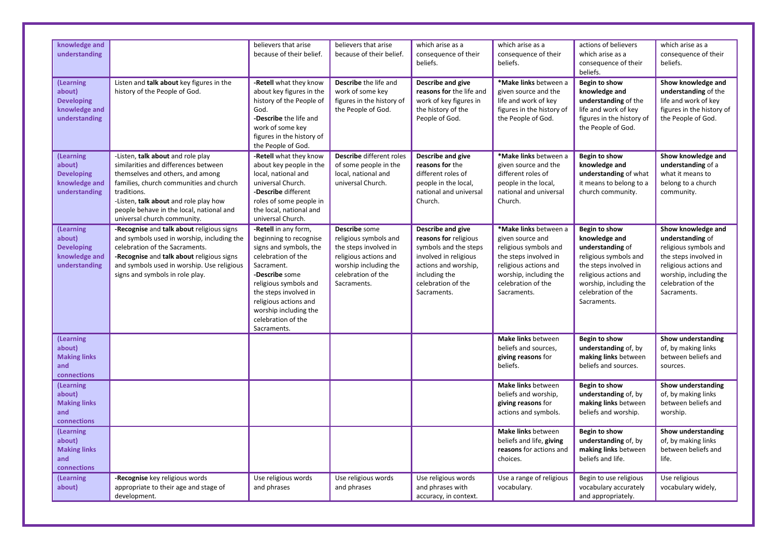| knowledge and<br>understanding                                             |                                                                                                                                                                                                                                                                                             | believers that arise<br>because of their belief.                                                                                                                                                                                                                        | believers that arise<br>because of their belief.                                                                                                       | which arise as a<br>consequence of their<br>beliefs.                                                                                                                       | which arise as a<br>consequence of their<br>beliefs.                                                                                                                                | actions of believers<br>which arise as a<br>consequence of their<br>beliefs.                                                                                                                 | which arise as a<br>consequence of their<br>beliefs.                                                                                                                             |
|----------------------------------------------------------------------------|---------------------------------------------------------------------------------------------------------------------------------------------------------------------------------------------------------------------------------------------------------------------------------------------|-------------------------------------------------------------------------------------------------------------------------------------------------------------------------------------------------------------------------------------------------------------------------|--------------------------------------------------------------------------------------------------------------------------------------------------------|----------------------------------------------------------------------------------------------------------------------------------------------------------------------------|-------------------------------------------------------------------------------------------------------------------------------------------------------------------------------------|----------------------------------------------------------------------------------------------------------------------------------------------------------------------------------------------|----------------------------------------------------------------------------------------------------------------------------------------------------------------------------------|
| (Learning<br>about)<br><b>Developing</b><br>knowledge and<br>understanding | Listen and talk about key figures in the<br>history of the People of God.                                                                                                                                                                                                                   | -Retell what they know<br>about key figures in the<br>history of the People of<br>God.<br>-Describe the life and<br>work of some key<br>figures in the history of<br>the People of God.                                                                                 | Describe the life and<br>work of some key<br>figures in the history of<br>the People of God.                                                           | Describe and give<br>reasons for the life and<br>work of key figures in<br>the history of the<br>People of God.                                                            | *Make links between a<br>given source and the<br>life and work of key<br>figures in the history of<br>the People of God.                                                            | Begin to show<br>knowledge and<br>understanding of the<br>life and work of key<br>figures in the history of<br>the People of God.                                                            | Show knowledge and<br>understanding of the<br>life and work of key<br>figures in the history of<br>the People of God.                                                            |
| (Learning<br>about)<br><b>Developing</b><br>knowledge and<br>understanding | -Listen, talk about and role play<br>similarities and differences between<br>themselves and others, and among<br>families, church communities and church<br>traditions.<br>-Listen, talk about and role play how<br>people behave in the local, national and<br>universal church community. | -Retell what they know<br>about key people in the<br>local, national and<br>universal Church.<br>-Describe different<br>roles of some people in<br>the local, national and<br>universal Church.                                                                         | Describe different roles<br>of some people in the<br>local, national and<br>universal Church.                                                          | Describe and give<br>reasons for the<br>different roles of<br>people in the local,<br>national and universal<br>Church.                                                    | *Make links between a<br>given source and the<br>different roles of<br>people in the local,<br>national and universal<br>Church.                                                    | Begin to show<br>knowledge and<br>understanding of what<br>it means to belong to a<br>church community.                                                                                      | Show knowledge and<br>understanding of a<br>what it means to<br>belong to a church<br>community.                                                                                 |
| (Learning<br>about)<br><b>Developing</b><br>knowledge and<br>understanding | -Recognise and talk about religious signs<br>and symbols used in worship, including the<br>celebration of the Sacraments.<br>-Recognise and talk about religious signs<br>and symbols used in worship. Use religious<br>signs and symbols in role play.                                     | -Retell in any form,<br>beginning to recognise<br>signs and symbols, the<br>celebration of the<br>Sacrament.<br>-Describe some<br>religious symbols and<br>the steps involved in<br>religious actions and<br>worship including the<br>celebration of the<br>Sacraments. | Describe some<br>religious symbols and<br>the steps involved in<br>religious actions and<br>worship including the<br>celebration of the<br>Sacraments. | Describe and give<br>reasons for religious<br>symbols and the steps<br>involved in religious<br>actions and worship,<br>including the<br>celebration of the<br>Sacraments. | *Make links between a<br>given source and<br>religious symbols and<br>the steps involved in<br>religious actions and<br>worship, including the<br>celebration of the<br>Sacraments. | Begin to show<br>knowledge and<br>understanding of<br>religious symbols and<br>the steps involved in<br>religious actions and<br>worship, including the<br>celebration of the<br>Sacraments. | Show knowledge and<br>understanding of<br>religious symbols and<br>the steps involved in<br>religious actions and<br>worship, including the<br>celebration of the<br>Sacraments. |
| (Learning<br>about)<br><b>Making links</b><br>and<br>connections           |                                                                                                                                                                                                                                                                                             |                                                                                                                                                                                                                                                                         |                                                                                                                                                        |                                                                                                                                                                            | Make links between<br>beliefs and sources,<br>giving reasons for<br>beliefs.                                                                                                        | Begin to show<br>understanding of, by<br>making links between<br>beliefs and sources.                                                                                                        | Show understanding<br>of, by making links<br>between beliefs and<br>sources.                                                                                                     |
| (Learning<br>about)<br><b>Making links</b><br>and<br>connections           |                                                                                                                                                                                                                                                                                             |                                                                                                                                                                                                                                                                         |                                                                                                                                                        |                                                                                                                                                                            | Make links between<br>beliefs and worship,<br>giving reasons for<br>actions and symbols.                                                                                            | Begin to show<br>understanding of, by<br>making links between<br>beliefs and worship.                                                                                                        | Show understanding<br>of, by making links<br>between beliefs and<br>worship.                                                                                                     |
| (Learning<br>about)<br><b>Making links</b><br>and<br>connections           |                                                                                                                                                                                                                                                                                             |                                                                                                                                                                                                                                                                         |                                                                                                                                                        |                                                                                                                                                                            | <b>Make links between</b><br>beliefs and life, giving<br>reasons for actions and<br>choices.                                                                                        | Begin to show<br>understanding of, by<br>making links between<br>beliefs and life.                                                                                                           | Show understanding<br>of, by making links<br>between beliefs and<br>life.                                                                                                        |
| (Learning<br>about)                                                        | -Recognise key religious words<br>appropriate to their age and stage of<br>development.                                                                                                                                                                                                     | Use religious words<br>and phrases                                                                                                                                                                                                                                      | Use religious words<br>and phrases                                                                                                                     | Use religious words<br>and phrases with<br>accuracy, in context.                                                                                                           | Use a range of religious<br>vocabulary.                                                                                                                                             | Begin to use religious<br>vocabulary accurately<br>and appropriately.                                                                                                                        | Use religious<br>vocabulary widely,                                                                                                                                              |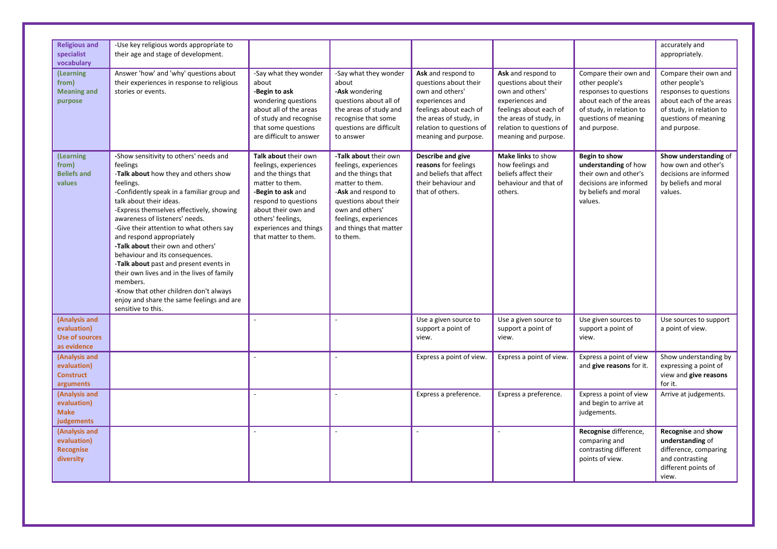| <b>Religious and</b><br>specialist<br>vocabulary                     | -Use key religious words appropriate to<br>their age and stage of development.                                                                                                                                                                                                                                                                                                                                                                                                                                                                                                                                                   |                                                                                                                                                                                                                                    |                                                                                                                                                                                                                            |                                                                                                                                                                                           |                                                                                                                                                                                           |                                                                                                                                                                  | accurately and<br>appropriately.                                                                                                                                 |
|----------------------------------------------------------------------|----------------------------------------------------------------------------------------------------------------------------------------------------------------------------------------------------------------------------------------------------------------------------------------------------------------------------------------------------------------------------------------------------------------------------------------------------------------------------------------------------------------------------------------------------------------------------------------------------------------------------------|------------------------------------------------------------------------------------------------------------------------------------------------------------------------------------------------------------------------------------|----------------------------------------------------------------------------------------------------------------------------------------------------------------------------------------------------------------------------|-------------------------------------------------------------------------------------------------------------------------------------------------------------------------------------------|-------------------------------------------------------------------------------------------------------------------------------------------------------------------------------------------|------------------------------------------------------------------------------------------------------------------------------------------------------------------|------------------------------------------------------------------------------------------------------------------------------------------------------------------|
| (Learning<br>from)<br><b>Meaning and</b><br>purpose                  | Answer 'how' and 'why' questions about<br>their experiences in response to religious<br>stories or events.                                                                                                                                                                                                                                                                                                                                                                                                                                                                                                                       | -Say what they wonder<br>about<br>-Begin to ask<br>wondering questions<br>about all of the areas<br>of study and recognise<br>that some questions<br>are difficult to answer                                                       | -Say what they wonder<br>about<br>-Ask wondering<br>questions about all of<br>the areas of study and<br>recognise that some<br>questions are difficult<br>to answer                                                        | Ask and respond to<br>questions about their<br>own and others'<br>experiences and<br>feelings about each of<br>the areas of study, in<br>relation to questions of<br>meaning and purpose. | Ask and respond to<br>questions about their<br>own and others'<br>experiences and<br>feelings about each of<br>the areas of study, in<br>relation to questions of<br>meaning and purpose. | Compare their own and<br>other people's<br>responses to questions<br>about each of the areas<br>of study, in relation to<br>questions of meaning<br>and purpose. | Compare their own and<br>other people's<br>responses to questions<br>about each of the areas<br>of study, in relation to<br>questions of meaning<br>and purpose. |
| (Learning<br>from)<br><b>Beliefs and</b><br>values                   | -Show sensitivity to others' needs and<br>feelings<br>-Talk about how they and others show<br>feelings.<br>-Confidently speak in a familiar group and<br>talk about their ideas.<br>-Express themselves effectively, showing<br>awareness of listeners' needs.<br>-Give their attention to what others say<br>and respond appropriately<br>-Talk about their own and others'<br>behaviour and its consequences.<br>-Talk about past and present events in<br>their own lives and in the lives of family<br>members.<br>-Know that other children don't always<br>enjoy and share the same feelings and are<br>sensitive to this. | Talk about their own<br>feelings, experiences<br>and the things that<br>matter to them.<br>-Begin to ask and<br>respond to questions<br>about their own and<br>others' feelings,<br>experiences and things<br>that matter to them. | -Talk about their own<br>feelings, experiences<br>and the things that<br>matter to them.<br>-Ask and respond to<br>questions about their<br>own and others'<br>feelings, experiences<br>and things that matter<br>to them. | Describe and give<br>reasons for feelings<br>and beliefs that affect<br>their behaviour and<br>that of others.                                                                            | Make links to show<br>how feelings and<br>beliefs affect their<br>behaviour and that of<br>others.                                                                                        | Begin to show<br>understanding of how<br>their own and other's<br>decisions are informed<br>by beliefs and moral<br>values.                                      | Show understanding of<br>how own and other's<br>decisions are informed<br>by beliefs and moral<br>values.                                                        |
| (Analysis and<br>evaluation)<br><b>Use of sources</b><br>as evidence |                                                                                                                                                                                                                                                                                                                                                                                                                                                                                                                                                                                                                                  |                                                                                                                                                                                                                                    |                                                                                                                                                                                                                            | Use a given source to<br>support a point of<br>view.                                                                                                                                      | Use a given source to<br>support a point of<br>view.                                                                                                                                      | Use given sources to<br>support a point of<br>view.                                                                                                              | Use sources to support<br>a point of view.                                                                                                                       |
| (Analysis and<br>evaluation)<br><b>Construct</b><br>arguments        |                                                                                                                                                                                                                                                                                                                                                                                                                                                                                                                                                                                                                                  |                                                                                                                                                                                                                                    |                                                                                                                                                                                                                            | Express a point of view.                                                                                                                                                                  | Express a point of view.                                                                                                                                                                  | Express a point of view<br>and give reasons for it.                                                                                                              | Show understanding by<br>expressing a point of<br>view and give reasons<br>for it.                                                                               |
| (Analysis and<br>evaluation)<br><b>Make</b><br>judgements            |                                                                                                                                                                                                                                                                                                                                                                                                                                                                                                                                                                                                                                  |                                                                                                                                                                                                                                    |                                                                                                                                                                                                                            | Express a preference.                                                                                                                                                                     | Express a preference.                                                                                                                                                                     | Express a point of view<br>and begin to arrive at<br>judgements.                                                                                                 | Arrive at judgements.                                                                                                                                            |
| (Analysis and<br>evaluation)<br><b>Recognise</b><br>diversity        |                                                                                                                                                                                                                                                                                                                                                                                                                                                                                                                                                                                                                                  |                                                                                                                                                                                                                                    |                                                                                                                                                                                                                            |                                                                                                                                                                                           |                                                                                                                                                                                           | Recognise difference,<br>comparing and<br>contrasting different<br>points of view.                                                                               | Recognise and show<br>understanding of<br>difference, comparing<br>and contrasting<br>different points of<br>view.                                               |